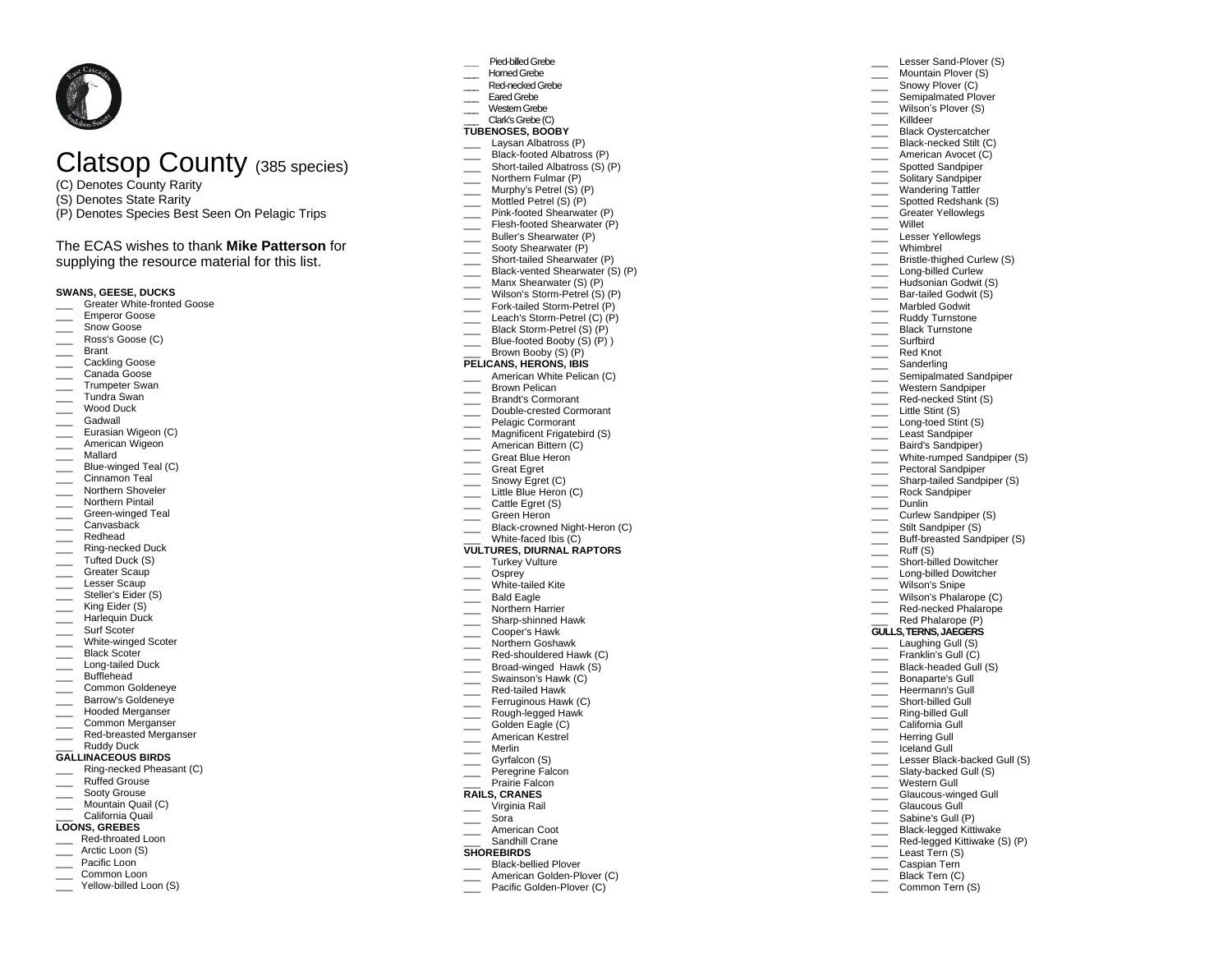# Clatsop County (385 species)

- (C) Denotes County Rarity
- (S) Denotes State Rarity
- (P) Denotes Species Best Seen On Pelagic Trips

# The ECAS wishes to thank **Mike Patterson** for

supplying the resource material for this list.

# **SWANS, GEESE, DUCKS**

- Greater White-fronted Goose
- \_\_\_ Emperor Goose
- \_\_\_ Snow Goose
- Ross's Goose (C)
- \_\_\_ Brant
- \_\_\_ Cackling Goose
- Canada Goose \_\_\_ Trumpeter Swan
- \_\_\_ Tundra Swan
- Wood Duck
- \_\_\_ Gadwall
- 
- **Eurasian Wigeon (C)** American Wigeon
- 
- \_\_\_ Mallard
- Blue-winged Teal (C) Cinnamon Teal
- \_\_\_ Northern Shoveler
- \_\_\_ Northern Pintail
- \_\_\_ Green-winged Teal
- \_\_\_ Canvasback
- \_\_\_ Redhead
- $\equiv$  Ring-necked Duck
- \_\_\_ Tufted Duck (S)
- \_\_\_ Greater Scaup
- \_\_\_ Lesser Scaup
- \_\_\_ Steller's Eider (S)
- \_\_\_ King Eider (S)
- Harlequin Duck
- \_\_\_ Surf Scoter
- White-winged Scoter
- \_\_\_ Black Scoter
- \_\_\_ Long-tailed Duck
- \_\_\_ Bufflehead
- \_\_\_ Common Goldeneye
- \_\_\_ Barrow's Goldeneye
- \_\_\_ Hooded Merganser
- \_\_\_ Common Merganser
- Red-breasted Merganser
- \_\_\_ Ruddy Duck **GALLINACEOUS BIRDS**
- \_\_\_ Ring-necked Pheasant (C)
- Ruffed Grouse
- \_\_\_ Sooty Grouse
- **Mountain Quail (C)**
- \_\_\_ California Quail

## **LOONS, GREBES**

- Red-throated Loon
- Arctic Loon (S)
- Pacific Loon
- Common Loon
- Yellow-billed Loon (S)

#### **\_\_\_** Pied-billed Grebe

- \_\_\_ Horned Grebe
- Red-necked Grebe
- Eared Grebe
- Western Grebe

#### \_\_\_ Clark's Grebe (C) **TUBENOSES, BOOBY**

- Laysan Albatross (P)
- Black-footed Albatross (P)

Lesser Sand-Plover (S) Mountain Plover (S) Snowy Plover (C) Semipalmated Plover Wilson's Plover (S) \_\_\_ Killdeer Black Ovstercatcher Black-necked Stilt (C) American Avocet (C) **Exercise Spotted Sandpiper** Solitary Sandpiper Wandering Tattler \_\_\_\_ Spotted Redshank (S) \_\_\_ Greater Yellowlegs \_\_\_ Willet \_\_\_ Lesser Yellowlegs \_\_\_ Whimbrel

Bristle-thighed Curlew (S) Long-billed Curlew Hudsonian Godwit (S) Bar-tailed Godwit (S) Marbled Godwit \_\_\_ Ruddy Turnstone Black Turnstone \_\_\_ Surfbird Red Knot \_\_\_ Sanderling

Semipalmated Sandpiper Western Sandpiper Red-necked Stint (S) Little Stint (S) Long-toed Stint (S) Least Sandpiper Baird's Sandpiper) White-rumped Sandpiper (S) Pectoral Sandpiper **Sharp-tailed Sandpiper (S)** \_\_\_ Rock Sandpiper Dunlin **Curlew Sandpiper (S)** Stilt Sandpiper (S) Buff-breasted Sandpiper (S)

> Short-billed Dowitcher Long-billed Dowitcher

Wilson's Phalarope (C) \_\_\_\_ Red-necked Phalarope Red Phalarope (P) **GULLS, TERNS, JAEGERS** Laughing Gull (S) Franklin's Gull (C) Black-headed Gull (S) Bonaparte's Gull Heermann's Gull Short-billed Gull \_\_\_ Ring-billed Gull California Gull Herring Gull \_\_\_ Iceland Gull

Lesser Black-backed Gull (S) Slaty-backed Gull (S)

Glaucous-winged Gull Glaucous Gull Sabine's Gull (P) Black-legged Kittiwake Red-legged Kittiwake (S) (P)

Least Tern (S) Caspian Tern Black Tern (C) Common Tern (S)

 $\equiv$  Ruff (S)

\_\_\_ Wilson's Snipe

\_\_\_ Western Gull

- \_\_\_ Short-tailed Albatross (S) (P)
- Morthern Fulmar (P)
- \_\_\_ Murphy's Petrel (S) (P) \_\_\_ Mottled Petrel (S) (P)
- Pink-footed Shearwater (P)
- Flesh-footed Shearwater (P)
- \_\_\_ Buller's Shearwater (P)
- \_\_\_\_ Sooty Shearwater (P)
- \_\_\_ Short-tailed Shearwater (P
- Black-vented Shearwater (S) (P)
- Manx Shearwater (S) (P)
- Wilson's Storm-Petrel (S) (P)
- Fork-tailed Storm-Petrel (P)
- Leach's Storm-Petrel  $(C)$  (P)
- Black Storm-Petrel (S) (P)
- $\equiv$  Blue-footed Booby  $(S)$   $(P)$ )
- Brown Booby  $(S)$   $(P)$

# **PELICANS, HERONS, IBIS**

- American White Pelican (C)
- Brown Pelican
- \_\_\_ Brandt's Cormorant
- Double-crested Cormorant
- Pelagic Cormorant
- Magnificent Frigatebird (S)
- American Bittern (C) Great Blue Heron
- 
- \_\_\_ Great Egret Snowy Egret (C)
- Little Blue Heron (C)
- Cattle Egret (S)
- \_\_\_ Green Heron
- **Example 2** Black-crowned Night-Heron (C)
- White-faced Ibis (C)
- **VULTURES, DIURNAL RAPTORS**

\_\_\_ Northern Harrier \_\_\_ Sharp-shinned Hawk \_\_\_ Cooper's Hawk \_\_\_ Northern Goshawk Red-shouldered Hawk (C) Broad-winged Hawk (S) Swainson's Hawk (C) \_\_\_ Red-tailed Hawk Ferruginous Hawk (C) Rough-legged Hawk Golden Eagle (C) American Kestrel \_\_\_ Merlin Gyrfalcon (S) Peregrine Falcon Prairie Falcon **RAILS, CRANES** \_\_\_ Virginia Rail \_\_\_ Sora American Coot Sandhill Crane **SHOREBIRDS**

\_\_\_ Black-bellied Plover American Golden-Plover (C) \_\_\_ Pacific Golden-Plover (C)

- \_\_\_ Turkey Vulture
- \_\_\_ Osprey
- White-tailed Kite
- Bald Eagle